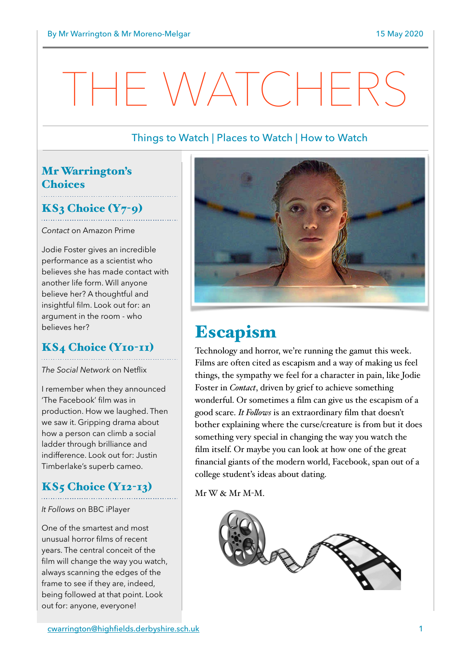# IF WATCHEI

## Things to Watch | Places to Watch | How to Watch

## Mr Warrington's **Choices**

## $KS<sub>3</sub> Choice (Y<sub>7</sub>-q)$

*Contact* on Amazon Prime

Jodie Foster gives an incredible performance as a scientist who believes she has made contact with another life form. Will anyone believe her? A thoughtful and insightful film. Look out for: an argument in the room - who believes her?

## KS4 Choice (Y10-11)

*The Social Network* on Netflix

I remember when they announced 'The Facebook' film was in production. How we laughed. Then we saw it. Gripping drama about how a person can climb a social ladder through brilliance and indifference. Look out for: Justin Timberlake's superb cameo.

## $KS<sub>5</sub> Choice (Y<sub>12-13</sub>)$

*It Follows* on BBC iPlayer

One of the smartest and most unusual horror films of recent years. The central conceit of the film will change the way you watch, always scanning the edges of the frame to see if they are, indeed, being followed at that point. Look out for: anyone, everyone!



## Escapism

Technology and horror, we're running the gamut this week. Films are often cited as escapism and a way of making us feel things, the sympathy we feel for a character in pain, like Jodie Foster in *Contact*, driven by grief to achieve something wonderful. Or sometimes a film can give us the escapism of a good scare. *It Folows* is an extraordinary film that doesn't bother explaining where the curse/creature is from but it does something very special in changing the way you watch the film itself. Or maybe you can look at how one of the great financial giants of the modern world, Facebook, span out of a college student's ideas about dating.

 $Mr W \& Mr M-M$